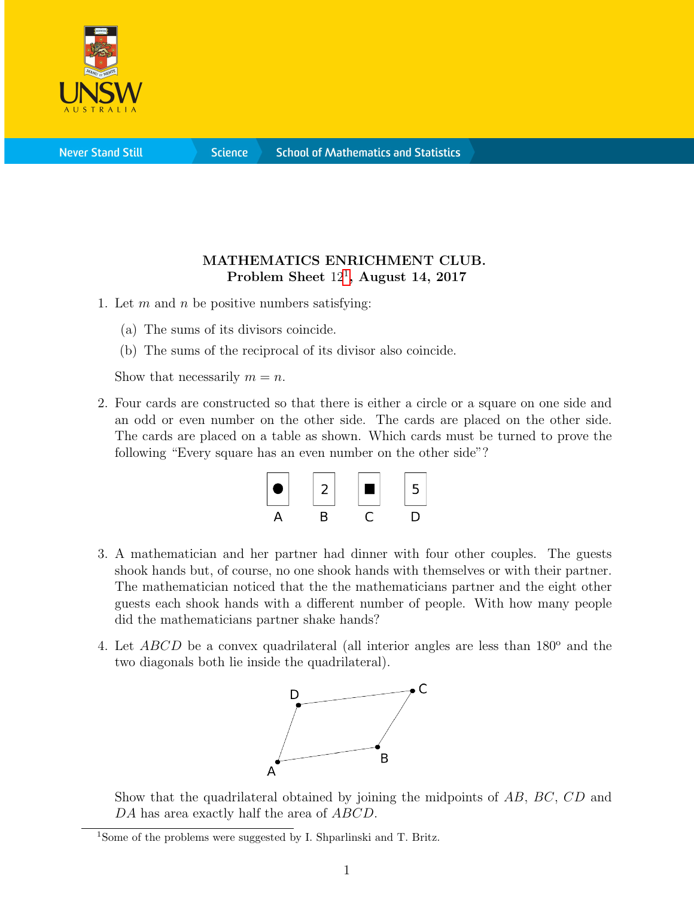

**Science** 

## MATHEMATICS ENRICHMENT CLUB. Problem Sheet  $12^1$  $12^1$ , August 14, 2017

- 1. Let  $m$  and  $n$  be positive numbers satisfying:
	- (a) The sums of its divisors coincide.
	- (b) The sums of the reciprocal of its divisor also coincide.

Show that necessarily  $m = n$ .

2. Four cards are constructed so that there is either a circle or a square on one side and an odd or even number on the other side. The cards are placed on the other side. The cards are placed on a table as shown. Which cards must be turned to prove the following "Every square has an even number on the other side"?



- 3. A mathematician and her partner had dinner with four other couples. The guests shook hands but, of course, no one shook hands with themselves or with their partner. The mathematician noticed that the the mathematicians partner and the eight other guests each shook hands with a different number of people. With how many people did the mathematicians partner shake hands?
- 4. Let  $ABCD$  be a convex quadrilateral (all interior angles are less than  $180^{\circ}$  and the two diagonals both lie inside the quadrilateral).



Show that the quadrilateral obtained by joining the midpoints of AB, BC, CD and DA has area exactly half the area of ABCD.

<span id="page-0-0"></span><sup>&</sup>lt;sup>1</sup>Some of the problems were suggested by I. Shparlinski and T. Britz.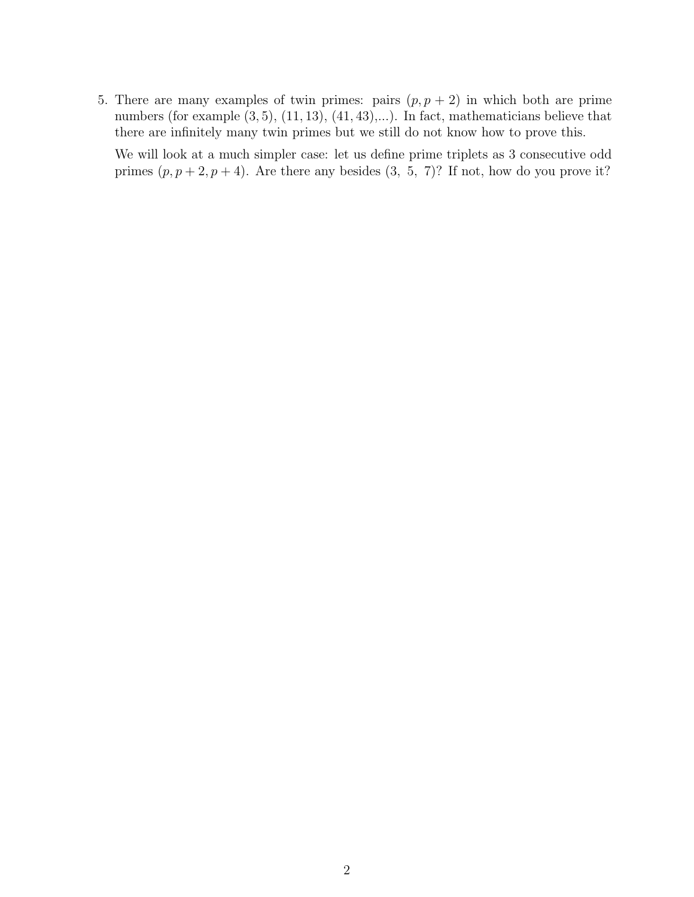5. There are many examples of twin primes: pairs  $(p, p + 2)$  in which both are prime numbers (for example  $(3, 5)$ ,  $(11, 13)$ ,  $(41, 43)$ ,...). In fact, mathematicians believe that there are infinitely many twin primes but we still do not know how to prove this.

We will look at a much simpler case: let us define prime triplets as 3 consecutive odd primes  $(p, p+2, p+4)$ . Are there any besides  $(3, 5, 7)$ ? If not, how do you prove it?